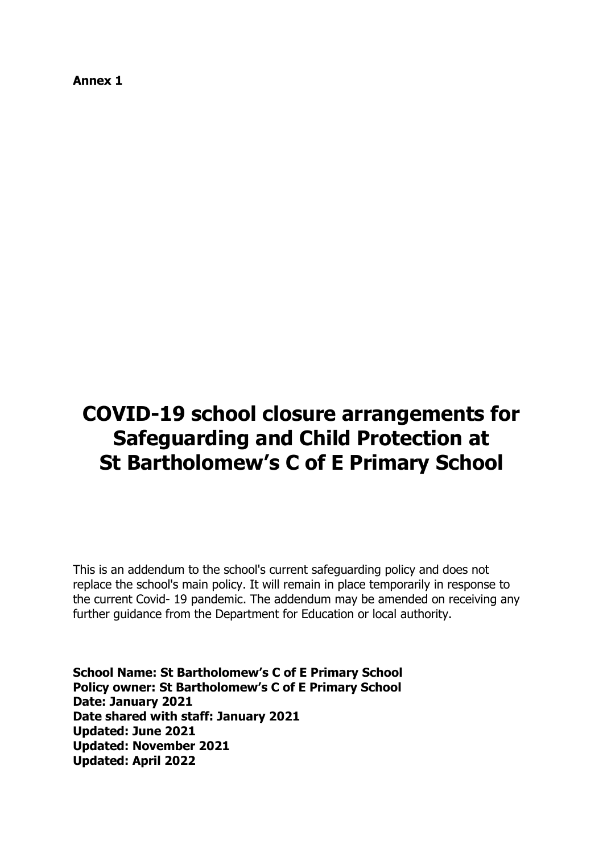**Annex 1**

# **COVID-19 school closure arrangements for Safeguarding and Child Protection at St Bartholomew's C of E Primary School**

This is an addendum to the school's current safeguarding policy and does not replace the school's main policy. It will remain in place temporarily in response to the current Covid- 19 pandemic. The addendum may be amended on receiving any further guidance from the Department for Education or local authority.

**School Name: St Bartholomew's C of E Primary School Policy owner: St Bartholomew's C of E Primary School Date: January 2021 Date shared with staff: January 2021 Updated: June 2021 Updated: November 2021 Updated: April 2022**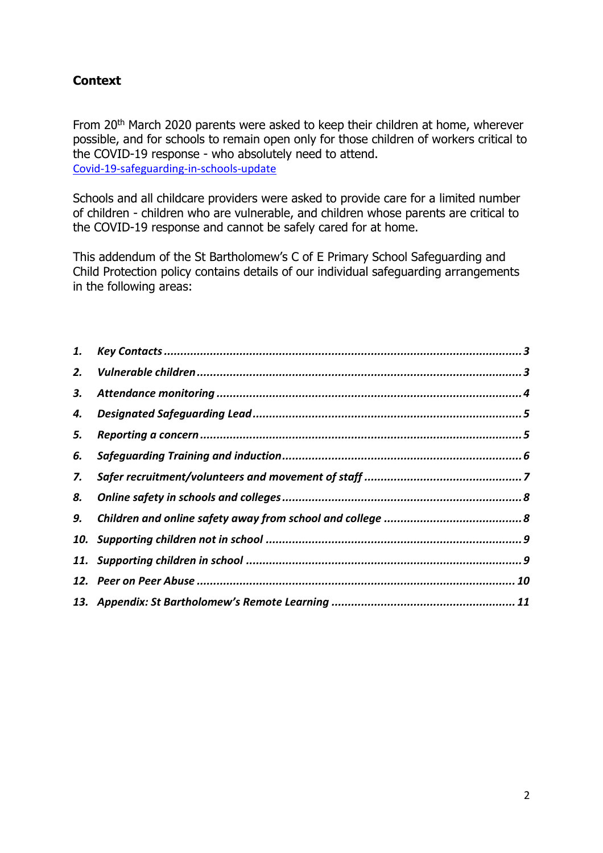## <span id="page-1-0"></span>**Context**

From 20<sup>th</sup> March 2020 parents were asked to keep their children at home, wherever possible, and for schools to remain open only for those children of workers critical to the COVID-19 response - who absolutely need to attend. [Covid-19-safeguarding-in-schools-update](https://www.gov.uk/government/publications/covid-19-safeguarding-in-schools-colleges-and-other-providers/coronavirus-covid-19-safeguarding-in-schools-colleges-and-other-providers)

Schools and all childcare providers were asked to provide care for a limited number of children - children who are vulnerable, and children whose parents are critical to the COVID-19 response and cannot be safely cared for at home.

This addendum of the St Bartholomew's C of E Primary School Safeguarding and Child Protection policy contains details of our individual safeguarding arrangements in the following areas:

| 1. |  |
|----|--|
| 2. |  |
| З. |  |
| 4. |  |
| 5. |  |
| 6. |  |
| 7. |  |
| 8. |  |
| 9. |  |
|    |  |
|    |  |
|    |  |
|    |  |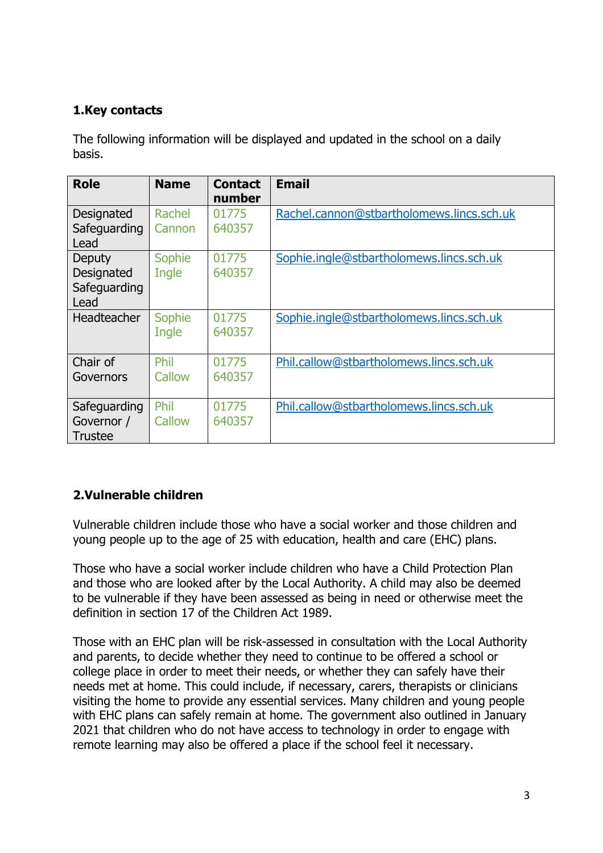# **1.Key contacts**

The following information will be displayed and updated in the school on a daily basis.

| <b>Role</b>                                  | <b>Name</b>      | <b>Contact</b><br>number | <b>Email</b>                              |
|----------------------------------------------|------------------|--------------------------|-------------------------------------------|
| Designated<br>Safeguarding<br>Lead           | Rachel<br>Cannon | 01775<br>640357          | Rachel.cannon@stbartholomews.lincs.sch.uk |
| Deputy<br>Designated<br>Safeguarding<br>Lead | Sophie<br>Ingle  | 01775<br>640357          | Sophie.ingle@stbartholomews.lincs.sch.uk  |
| <b>Headteacher</b>                           | Sophie<br>Ingle  | 01775<br>640357          | Sophie.ingle@stbartholomews.lincs.sch.uk  |
| Chair of<br>Governors                        | Phil<br>Callow   | 01775<br>640357          | Phil.callow@stbartholomews.lincs.sch.uk   |
| Safeguarding<br>Governor /<br><b>Trustee</b> | Phil<br>Callow   | 01775<br>640357          | Phil.callow@stbartholomews.lincs.sch.uk   |

# <span id="page-2-0"></span>**2.Vulnerable children**

Vulnerable children include those who have a social worker and those children and young people up to the age of 25 with education, health and care (EHC) plans.

Those who have a social worker include children who have a Child Protection Plan and those who are looked after by the Local Authority. A child may also be deemed to be vulnerable if they have been assessed as being in need or otherwise meet the definition in section 17 of the Children Act 1989.

Those with an EHC plan will be risk-assessed in consultation with the Local Authority and parents, to decide whether they need to continue to be offered a school or college place in order to meet their needs, or whether they can safely have their needs met at home. This could include, if necessary, carers, therapists or clinicians visiting the home to provide any essential services. Many children and young people with EHC plans can safely remain at home. The government also outlined in January 2021 that children who do not have access to technology in order to engage with remote learning may also be offered a place if the school feel it necessary.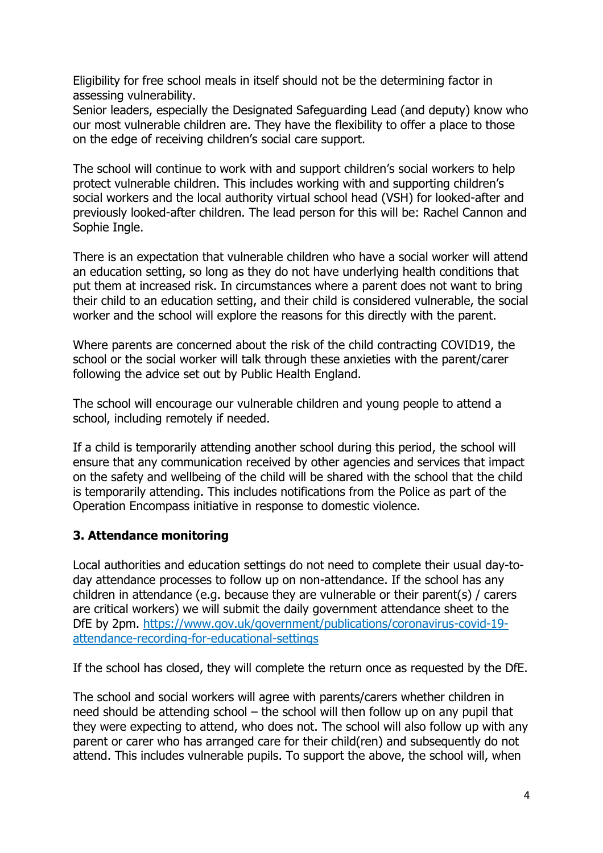Eligibility for free school meals in itself should not be the determining factor in assessing vulnerability.

Senior leaders, especially the Designated Safeguarding Lead (and deputy) know who our most vulnerable children are. They have the flexibility to offer a place to those on the edge of receiving children's social care support.

The school will continue to work with and support children's social workers to help protect vulnerable children. This includes working with and supporting children's social workers and the local authority virtual school head (VSH) for looked-after and previously looked-after children. The lead person for this will be: Rachel Cannon and Sophie Ingle.

There is an expectation that vulnerable children who have a social worker will attend an education setting, so long as they do not have underlying health conditions that put them at increased risk. In circumstances where a parent does not want to bring their child to an education setting, and their child is considered vulnerable, the social worker and the school will explore the reasons for this directly with the parent.

Where parents are concerned about the risk of the child contracting COVID19, the school or the social worker will talk through these anxieties with the parent/carer following the advice set out by Public Health England.

The school will encourage our vulnerable children and young people to attend a school, including remotely if needed.

If a child is temporarily attending another school during this period, the school will ensure that any communication received by other agencies and services that impact on the safety and wellbeing of the child will be shared with the school that the child is temporarily attending. This includes notifications from the Police as part of the Operation Encompass initiative in response to domestic violence.

## <span id="page-3-0"></span>**3. Attendance monitoring**

Local authorities and education settings do not need to complete their usual day-today attendance processes to follow up on non-attendance. If the school has any children in attendance (e.g. because they are vulnerable or their parent(s) / carers are critical workers) we will submit the daily government attendance sheet to the DfE by 2pm. [https://www.gov.uk/government/publications/coronavirus-covid-19](https://www.gov.uk/government/publications/coronavirus-covid-19-attendance-recording-for-educational-settings) [attendance-recording-for-educational-settings](https://www.gov.uk/government/publications/coronavirus-covid-19-attendance-recording-for-educational-settings)

If the school has closed, they will complete the return once as requested by the DfE.

The school and social workers will agree with parents/carers whether children in need should be attending school – the school will then follow up on any pupil that they were expecting to attend, who does not. The school will also follow up with any parent or carer who has arranged care for their child(ren) and subsequently do not attend. This includes vulnerable pupils. To support the above, the school will, when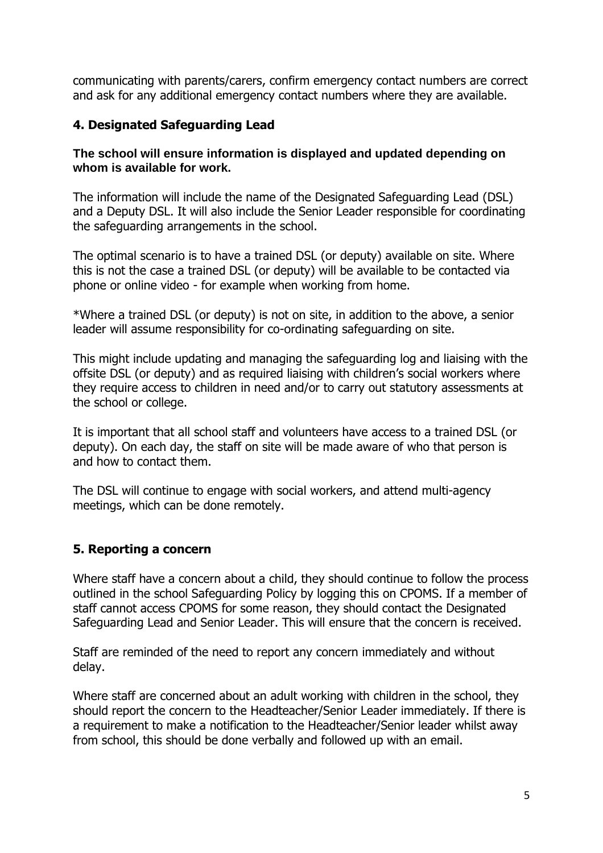communicating with parents/carers, confirm emergency contact numbers are correct and ask for any additional emergency contact numbers where they are available.

#### <span id="page-4-0"></span>**4. Designated Safeguarding Lead**

#### **The school will ensure information is displayed and updated depending on whom is available for work.**

The information will include the name of the Designated Safeguarding Lead (DSL) and a Deputy DSL. It will also include the Senior Leader responsible for coordinating the safeguarding arrangements in the school.

The optimal scenario is to have a trained DSL (or deputy) available on site. Where this is not the case a trained DSL (or deputy) will be available to be contacted via phone or online video - for example when working from home.

\*Where a trained DSL (or deputy) is not on site, in addition to the above, a senior leader will assume responsibility for co-ordinating safeguarding on site.

This might include updating and managing the safeguarding log and liaising with the offsite DSL (or deputy) and as required liaising with children's social workers where they require access to children in need and/or to carry out statutory assessments at the school or college.

It is important that all school staff and volunteers have access to a trained DSL (or deputy). On each day, the staff on site will be made aware of who that person is and how to contact them.

The DSL will continue to engage with social workers, and attend multi-agency meetings, which can be done remotely.

#### <span id="page-4-1"></span>**5. Reporting a concern**

Where staff have a concern about a child, they should continue to follow the process outlined in the school Safeguarding Policy by logging this on CPOMS. If a member of staff cannot access CPOMS for some reason, they should contact the Designated Safeguarding Lead and Senior Leader. This will ensure that the concern is received.

Staff are reminded of the need to report any concern immediately and without delay.

Where staff are concerned about an adult working with children in the school, they should report the concern to the Headteacher/Senior Leader immediately. If there is a requirement to make a notification to the Headteacher/Senior leader whilst away from school, this should be done verbally and followed up with an email.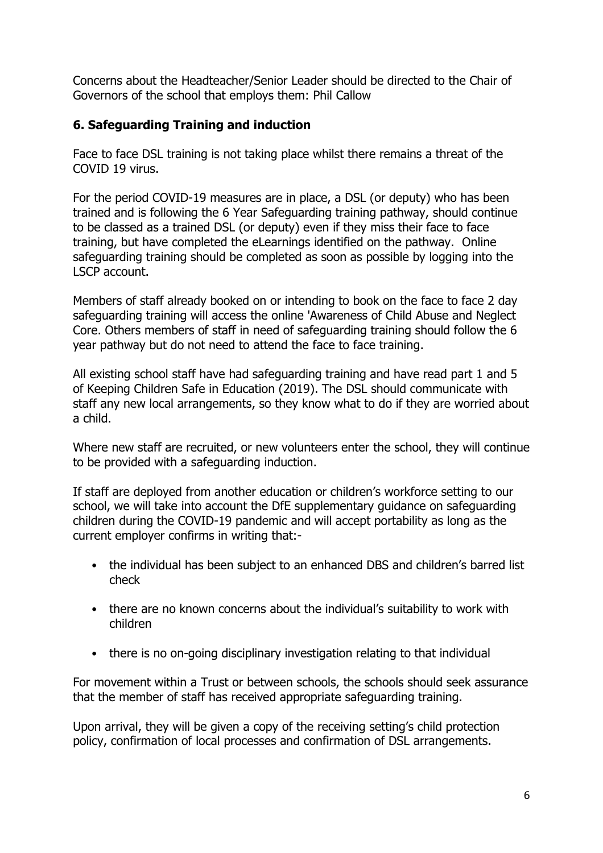<span id="page-5-0"></span>Concerns about the Headteacher/Senior Leader should be directed to the Chair of Governors of the school that employs them: Phil Callow

## **6. Safeguarding Training and induction**

Face to face DSL training is not taking place whilst there remains a threat of the COVID 19 virus.

For the period COVID-19 measures are in place, a DSL (or deputy) who has been trained and is following the 6 Year Safeguarding training pathway, should continue to be classed as a trained DSL (or deputy) even if they miss their face to face training, but have completed the eLearnings identified on the pathway. Online safeguarding training should be completed as soon as possible by logging into the LSCP account.

Members of staff already booked on or intending to book on the face to face 2 day safeguarding training will access the online 'Awareness of Child Abuse and Neglect Core. Others members of staff in need of safeguarding training should follow the 6 year pathway but do not need to attend the face to face training.

All existing school staff have had safeguarding training and have read part 1 and 5 of Keeping Children Safe in Education (2019). The DSL should communicate with staff any new local arrangements, so they know what to do if they are worried about a child.

Where new staff are recruited, or new volunteers enter the school, they will continue to be provided with a safeguarding induction.

If staff are deployed from another education or children's workforce setting to our school, we will take into account the DfE supplementary guidance on safeguarding children during the COVID-19 pandemic and will accept portability as long as the current employer confirms in writing that:-

- the individual has been subject to an enhanced DBS and children's barred list check
- there are no known concerns about the individual's suitability to work with children
- there is no on-going disciplinary investigation relating to that individual

For movement within a Trust or between schools, the schools should seek assurance that the member of staff has received appropriate safeguarding training.

Upon arrival, they will be given a copy of the receiving setting's child protection policy, confirmation of local processes and confirmation of DSL arrangements.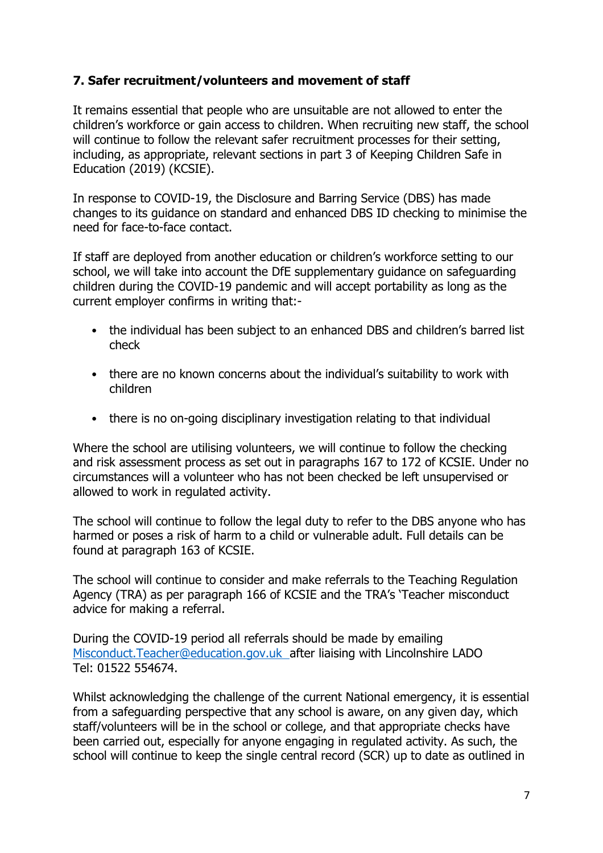## <span id="page-6-0"></span>**7. Safer recruitment/volunteers and movement of staff**

It remains essential that people who are unsuitable are not allowed to enter the children's workforce or gain access to children. When recruiting new staff, the school will continue to follow the relevant safer recruitment processes for their setting, including, as appropriate, relevant sections in part 3 of Keeping Children Safe in Education (2019) (KCSIE).

In response to COVID-19, the Disclosure and Barring Service (DBS) has made changes to its guidance on standard and enhanced DBS ID checking to minimise the need for face-to-face contact.

If staff are deployed from another education or children's workforce setting to our school, we will take into account the DfE supplementary guidance on safeguarding children during the COVID-19 pandemic and will accept portability as long as the current employer confirms in writing that:-

- the individual has been subject to an enhanced DBS and children's barred list check
- there are no known concerns about the individual's suitability to work with children
- there is no on-going disciplinary investigation relating to that individual

Where the school are utilising volunteers, we will continue to follow the checking and risk assessment process as set out in paragraphs 167 to 172 of KCSIE. Under no circumstances will a volunteer who has not been checked be left unsupervised or allowed to work in regulated activity.

The school will continue to follow the legal duty to refer to the DBS anyone who has harmed or poses a risk of harm to a child or vulnerable adult. Full details can be found at paragraph 163 of KCSIE.

The school will continue to consider and make referrals to the Teaching Regulation Agency (TRA) as per paragraph 166 of KCSIE and the TRA's 'Teacher misconduct advice for making a referral.

During the COVID-19 period all referrals should be made by emailing [Misconduct.Teacher@education.gov.uk](mailto:Misconduct.Teacher@education.gov.uk) after liaising with Lincolnshire LADO Tel: 01522 554674.

Whilst acknowledging the challenge of the current National emergency, it is essential from a safeguarding perspective that any school is aware, on any given day, which staff/volunteers will be in the school or college, and that appropriate checks have been carried out, especially for anyone engaging in regulated activity. As such, the school will continue to keep the single central record (SCR) up to date as outlined in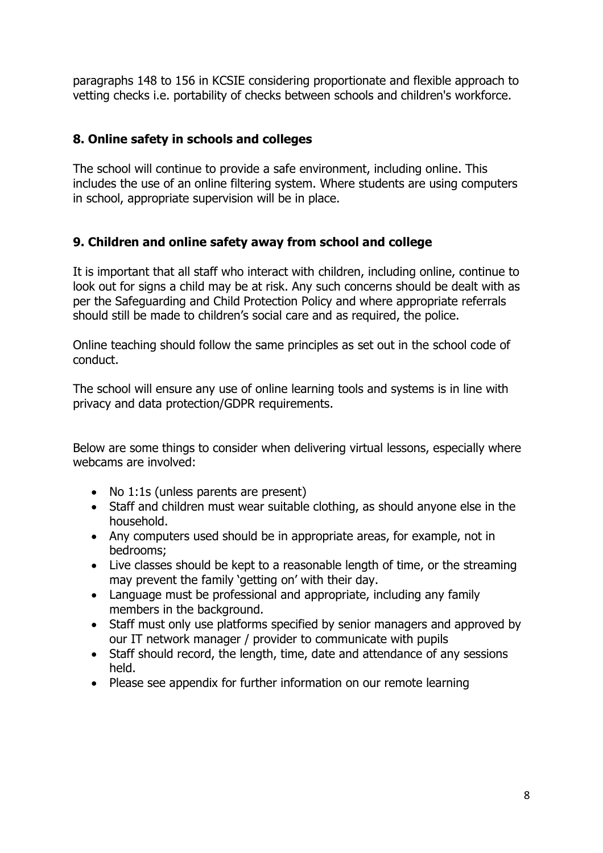paragraphs 148 to 156 in KCSIE considering proportionate and flexible approach to vetting checks i.e. portability of checks between schools and children's workforce.

#### <span id="page-7-0"></span>**8. Online safety in schools and colleges**

The school will continue to provide a safe environment, including online. This includes the use of an online filtering system. Where students are using computers in school, appropriate supervision will be in place.

## <span id="page-7-1"></span>**9. Children and online safety away from school and college**

It is important that all staff who interact with children, including online, continue to look out for signs a child may be at risk. Any such concerns should be dealt with as per the Safeguarding and Child Protection Policy and where appropriate referrals should still be made to children's social care and as required, the police.

Online teaching should follow the same principles as set out in the school code of conduct.

The school will ensure any use of online learning tools and systems is in line with privacy and data protection/GDPR requirements.

Below are some things to consider when delivering virtual lessons, especially where webcams are involved:

- No 1:1s (unless parents are present)
- Staff and children must wear suitable clothing, as should anyone else in the household.
- Any computers used should be in appropriate areas, for example, not in bedrooms;
- Live classes should be kept to a reasonable length of time, or the streaming may prevent the family 'getting on' with their day.
- Language must be professional and appropriate, including any family members in the background.
- Staff must only use platforms specified by senior managers and approved by our IT network manager / provider to communicate with pupils
- Staff should record, the length, time, date and attendance of any sessions held.
- Please see appendix for further information on our remote learning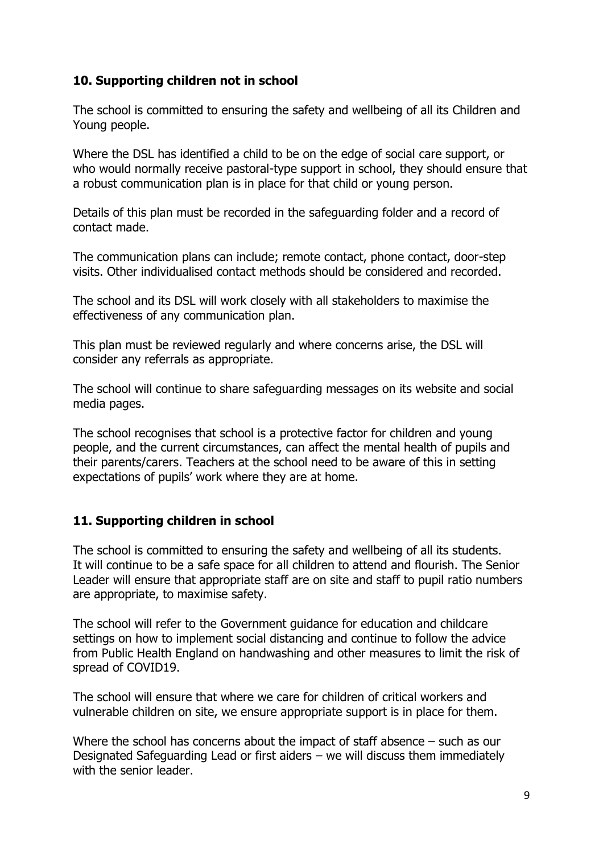#### <span id="page-8-0"></span>**10. Supporting children not in school**

The school is committed to ensuring the safety and wellbeing of all its Children and Young people.

Where the DSL has identified a child to be on the edge of social care support, or who would normally receive pastoral-type support in school, they should ensure that a robust communication plan is in place for that child or young person.

Details of this plan must be recorded in the safeguarding folder and a record of contact made.

The communication plans can include; remote contact, phone contact, door-step visits. Other individualised contact methods should be considered and recorded.

The school and its DSL will work closely with all stakeholders to maximise the effectiveness of any communication plan.

This plan must be reviewed regularly and where concerns arise, the DSL will consider any referrals as appropriate.

The school will continue to share safeguarding messages on its website and social media pages.

The school recognises that school is a protective factor for children and young people, and the current circumstances, can affect the mental health of pupils and their parents/carers. Teachers at the school need to be aware of this in setting expectations of pupils' work where they are at home.

#### <span id="page-8-1"></span>**11. Supporting children in school**

The school is committed to ensuring the safety and wellbeing of all its students. It will continue to be a safe space for all children to attend and flourish. The Senior Leader will ensure that appropriate staff are on site and staff to pupil ratio numbers are appropriate, to maximise safety.

The school will refer to the Government guidance for education and childcare settings on how to implement social distancing and continue to follow the advice from Public Health England on handwashing and other measures to limit the risk of spread of COVID19.

The school will ensure that where we care for children of critical workers and vulnerable children on site, we ensure appropriate support is in place for them.

Where the school has concerns about the impact of staff absence – such as our Designated Safeguarding Lead or first aiders – we will discuss them immediately with the senior leader.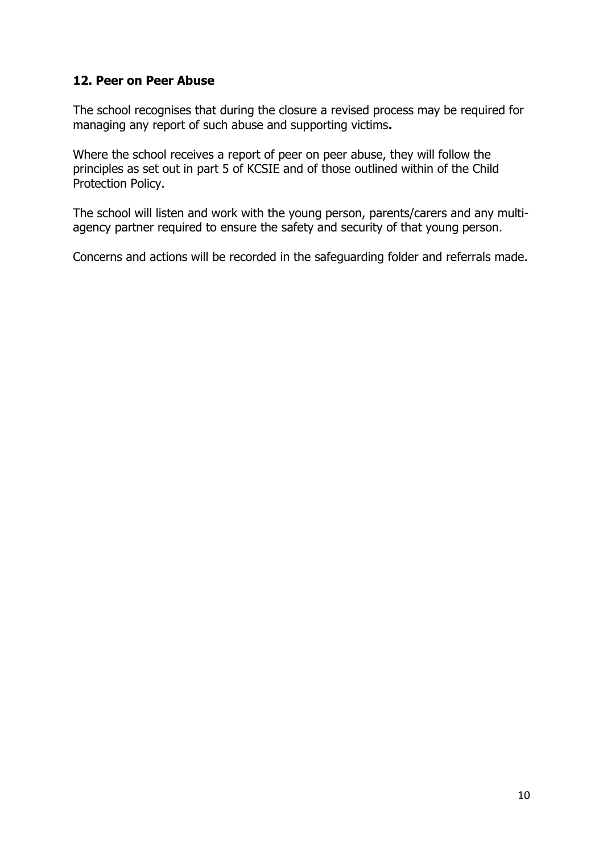#### <span id="page-9-0"></span>**12. Peer on Peer Abuse**

The school recognises that during the closure a revised process may be required for managing any report of such abuse and supporting victims**.** 

Where the school receives a report of peer on peer abuse, they will follow the principles as set out in part 5 of KCSIE and of those outlined within of the Child Protection Policy.

The school will listen and work with the young person, parents/carers and any multiagency partner required to ensure the safety and security of that young person.

Concerns and actions will be recorded in the safeguarding folder and referrals made.